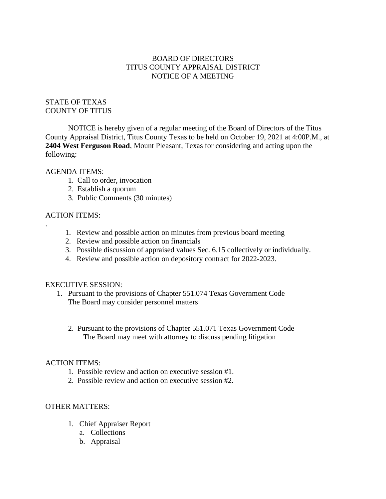### BOARD OF DIRECTORS TITUS COUNTY APPRAISAL DISTRICT NOTICE OF A MEETING

# STATE OF TEXAS COUNTY OF TITUS

NOTICE is hereby given of a regular meeting of the Board of Directors of the Titus County Appraisal District, Titus County Texas to be held on October 19, 2021 at 4:00P.M., at **2404 West Ferguson Road**, Mount Pleasant, Texas for considering and acting upon the following:

### AGENDA ITEMS:

- 1. Call to order, invocation
- 2. Establish a quorum
- 3. Public Comments (30 minutes)

# ACTION ITEMS:

.

- 1. Review and possible action on minutes from previous board meeting
- 2. Review and possible action on financials
- 3. Possible discussion of appraised values Sec. 6.15 collectively or individually.
- 4. Review and possible action on depository contract for 2022-2023.

### EXECUTIVE SESSION:

- 1. Pursuant to the provisions of Chapter 551.074 Texas Government Code The Board may consider personnel matters
	- 2. Pursuant to the provisions of Chapter 551.071 Texas Government Code The Board may meet with attorney to discuss pending litigation

### ACTION ITEMS:

- 1. Possible review and action on executive session #1.
- 2. Possible review and action on executive session #2.

# OTHER MATTERS:

- 1. Chief Appraiser Report
	- a. Collections
	- b. Appraisal